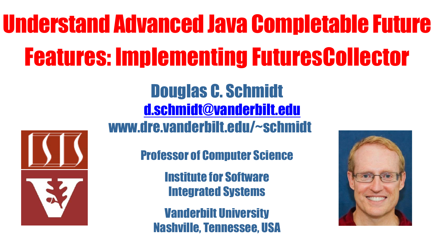## Understand Advanced Java Completable Future Features: Implementing FuturesCollector



Douglas C. Schmidt [d.schmidt@vanderbilt.edu](mailto:d.schmidt@vanderbilt.edu) www.dre.vanderbilt.edu/~schmidt

Professor of Computer Science

Institute for Software Integrated Systems

Vanderbilt University Nashville, Tennessee, USA

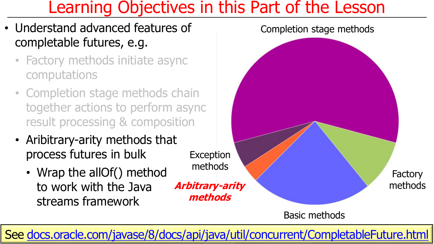## Learning Objectives in this Part of the Lesson

- Understand advanced features of completable futures, e.g.
	- Factory methods initiate async computations
	- Completion stage methods chain together actions to perform async result processing & composition
	- Aribitrary-arity methods that process futures in bulk
		- Wrap the allOf() method to work with the Java streams framework

**methods**



#### Basic methods

**2** See [docs.oracle.com/javase/8/docs/api/java/util/concurrent/CompletableFuture.html](https://docs.oracle.com/javase/8/docs/api/java/util/concurrent/CompletableFuture.html)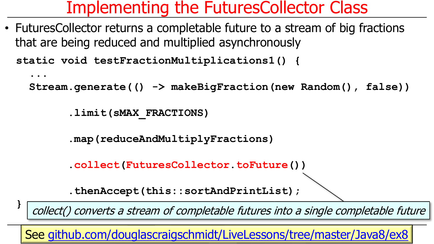• FuturesCollector returns a completable future to a stream of big fractions that are being reduced and multiplied asynchronously

**static void testFractionMultiplications1() {**

```
...
```
**}**

**Stream.generate(() -> makeBigFraction(new Random(), false))**

**.limit(sMAX\_FRACTIONS)**

**.map(reduceAndMultiplyFractions)**

**.collect(FuturesCollector.toFuture())**

**.thenAccept(this::sortAndPrintList);**

collect() converts a stream of completable futures into a single completable future

**4** See [github.com/douglascraigschmidt/LiveLessons/tree/master/Java8/ex8](http://github.com/douglascraigschmidt/LiveLessons/tree/master/Java8/ex8)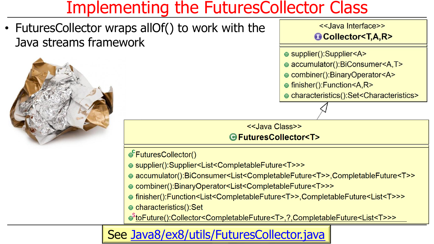• FuturesCollector wraps allOf() to work with the Java streams framework



<<Java Interface>> Collector<T.A.R>

- supplier():Supplier<A>
- accumulator():BiConsumer<A,T>
- Combiner():BinaryOperator<A>
- finisher():Function<A,R>

· characteristics():Set<Characteristics>

<<Java Class>> GFuturesCollector<T>

●FuturesCollector()

- supplier():Supplier<List<CompletableFuture<T>>>
- accumulator():BiConsumer<List<CompletableFuture<T>>,CompletableFuture<T>>
- combiner():BinaryOperator<List<CompletableFuture<T>>>
- finisher():Function<List<CompletableFuture<T>>,CompletableFuture<List<T>>>
- characteristics():Set

StoFuture():Collector<CompletableFuture<T>,?,CompletableFuture<List<T>>>

#### **5** See [Java8/ex8/utils/FuturesCollector.java](http://github.com/douglascraigschmidt/LiveLessons/tree/master/Java8/ex8/utils/FuturesCollector.java)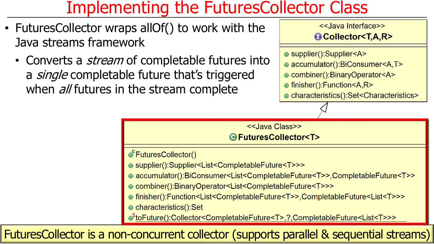- FuturesCollector wraps allOf() to work with the Java streams framework
	- Converts a *stream* of completable futures into a *single* completable future that's triggered when *all* futures in the stream complete

<<Java Interface>> Collector<T,A,R>

- supplier():Supplier<A>
- accumulator():BiConsumer<A,T>
- Combiner():BinaryOperator<A>
- finisher():Function<A,R>

· characteristics():Set<Characteristics>

#### <<Java Class>> GFuturesCollector<T> ●FuturesCollector() ● supplier():Supplier<List<CompletableFuture<T>>> ● accumulator():BiConsumer<List<CompletableFuture<T>>,CompletableFuture<T>> ● combiner():BinaryOperator<List<CompletableFuture<T>>> ● finisher():Function<List<CompletableFuture<T>>,CompletableFuture<List<T>>> ● characteristics():Set StoFuture():Collector<CompletableFuture<T>,?,CompletableFuture<List<T>>>

FuturesCollector is a non-concurrent collector (supports parallel & sequential streams) **6**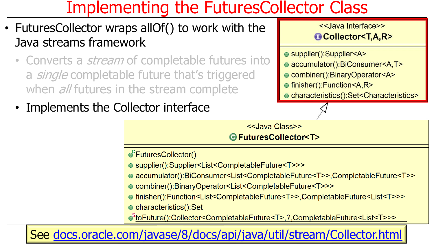- FuturesCollector wraps allOf() to work with the Java streams framework
	- Converts a *stream* of completable futures into a *single* completable future that's triggered when *all* futures in the stream complete
	- Implements the Collector interface

<<Java Interface>> Collector<T,A,R>

● supplier():Supplier<A>

• accumulator():BiConsumer<A,T>

Combiner():BinaryOperator<A>

● finisher():Function<A,R>

· characteristics():Set<Characteristics>

<<Java Class>> GFuturesCollector<T>

●FuturesCollector()

● supplier():Supplier<List<CompletableFuture<T>>>

● accumulator():BiConsumer<List<CompletableFuture<T>>,CompletableFuture<T>>

● combiner():BinaryOperator<List<CompletableFuture<T>>>

● finisher():Function<List<CompletableFuture<T>>,CompletableFuture<List<T>>> ● characteristics():Set

StoFuture():Collector<CompletableFuture<T>,?,CompletableFuture<List<T>>>

**7** See [docs.oracle.com/javase/8/docs/api/java/util/stream/Collector.html](https://docs.oracle.com/javase/8/docs/api/java/util/stream/Collector.html)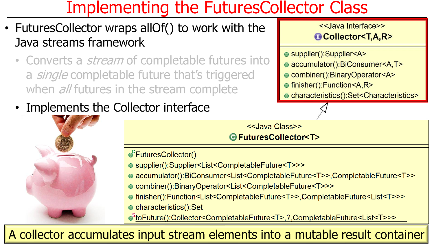- FuturesCollector wraps allOf() to work with the Java streams framework
	- Converts a *stream* of completable futures into a *single* completable future that's triggered when *all* futures in the stream complete
	- Implements the Collector interface



<<Java Class>> GFuturesCollector<T>

●FuturesCollector()

- supplier():Supplier<List<CompletableFuture<T>>>
- accumulator():BiConsumer<List<CompletableFuture<T>>,CompletableFuture<T>>
- combiner():BinaryOperator<List<CompletableFuture<T>>>

● finisher():Function<List<CompletableFuture<T>>,CompletableFuture<List<T>>> ● characteristics():Set

StoFuture():Collector<CompletableFuture<T>,?,CompletableFuture<List<T>>>

**8** A collector accumulates input stream elements into a mutable result container

<<Java Interface>> Collector<T,A,R>

● supplier():Supplier<A>

- accumulator():BiConsumer<A,T>
- Combiner():BinaryOperator<A>
- finisher():Function<A,R>

· characteristics():Set<Characteristics>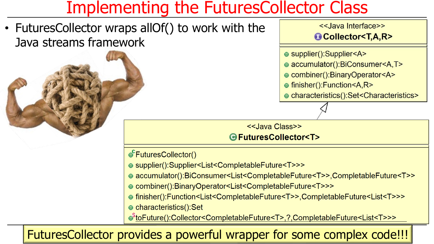• FuturesCollector wraps allOf() to work with the Java streams framework



- supplier():Supplier<A>
- accumulator():BiConsumer<A,T>
- Combiner():BinaryOperator<A>
- finisher():Function<A,R>

· characteristics():Set<Characteristics>

<<Java Class>> GFuturesCollector<T>

●FuturesCollector()

- supplier():Supplier<List<CompletableFuture<T>>>
- accumulator():BiConsumer<List<CompletableFuture<T>>,CompletableFuture<T>>
- combiner():BinaryOperator<List<CompletableFuture<T>>>

● finisher():Function<List<CompletableFuture<T>>,CompletableFuture<List<T>>> ● characteristics():Set

StoFuture():Collector<CompletableFuture<T>,?,CompletableFuture<List<T>>>

FuturesCollector provides a powerful wrapper for some complex code!!!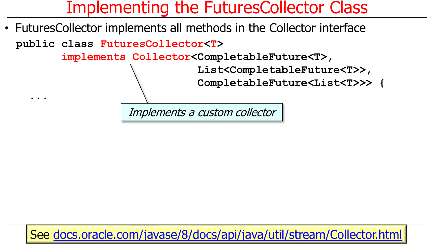• FuturesCollector implements all methods in the Collector interface

**public class FuturesCollector<T>**

**...**

**implements Collector<CompletableFuture<T>,**

**List<CompletableFuture<T>>,**

**CompletableFuture<List<T>>> {**

Implements a custom collector

**10** See [docs.oracle.com/javase/8/docs/api/java/util/stream/Collector.html](https://docs.oracle.com/javase/8/docs/api/java/util/stream/Collector.html)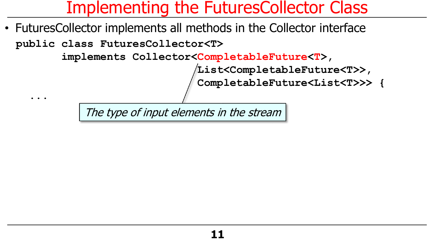• FuturesCollector implements all methods in the Collector interface

**public class FuturesCollector<T>**

**...**

**implements Collector<CompletableFuture<T>,**

**List<CompletableFuture<T>>,**

**CompletableFuture<List<T>>> {**

The type of input elements in the stream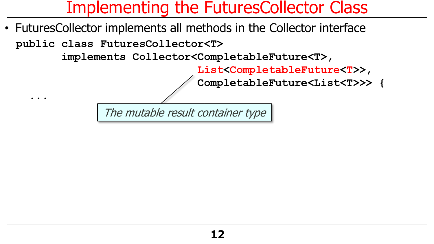• FuturesCollector implements all methods in the Collector interface

**public class FuturesCollector<T>**

**...**

**implements Collector<CompletableFuture<T>,**

**List<CompletableFuture<T>>,**

**CompletableFuture<List<T>>> {**

The mutable result container type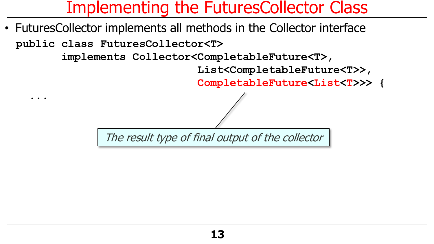• FuturesCollector implements all methods in the Collector interface

**public class FuturesCollector<T>**

**...**

**implements Collector<CompletableFuture<T>,**

**List<CompletableFuture<T>>,**

**CompletableFuture<List<T>>> {**

The result type of final output of the collector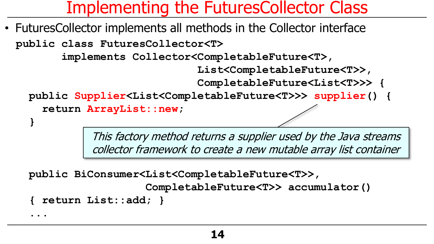• FuturesCollector implements all methods in the Collector interface

**public class FuturesCollector<T>**

**implements Collector<CompletableFuture<T>,**

**List<CompletableFuture<T>>,**

**CompletableFuture<List<T>>> {**

**public Supplier<List<CompletableFuture<T>>> supplier() { return ArrayList::new;**

> This factory method returns a supplier used by the Java streams collector framework to create a new mutable array list container

**public BiConsumer<List<CompletableFuture<T>>,**

```
CompletableFuture<T>> accumulator()
```

```
{ return List::add; }
```
**...**

**}**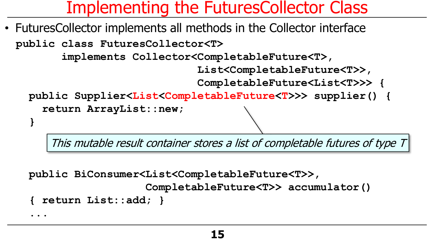• FuturesCollector implements all methods in the Collector interface

**public class FuturesCollector<T>**

**implements Collector<CompletableFuture<T>,**

**List<CompletableFuture<T>>,**

**CompletableFuture<List<T>>> {**

**public Supplier<List<CompletableFuture<T>>> supplier() {**

**return ArrayList::new;**

This mutable result container stores a list of completable futures of type T

**public BiConsumer<List<CompletableFuture<T>>,**

```
CompletableFuture<T>> accumulator()
```

```
{ return List::add; }
```
**...**

**}**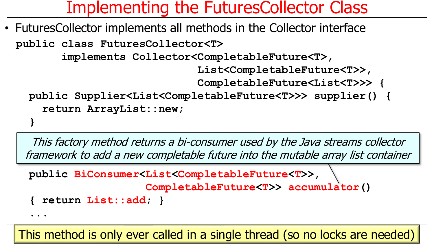• FuturesCollector implements all methods in the Collector interface

**public class FuturesCollector<T>**

**implements Collector<CompletableFuture<T>,**

**List<CompletableFuture<T>>,**

**CompletableFuture<List<T>>> {**

```
public Supplier<List<CompletableFuture<T>>> supplier() {
  return ArrayList::new;
```
**}**

This factory method returns a bi-consumer used by the Java streams collector framework to add a new completable future into the mutable array list container

```
public BiConsumer<List<CompletableFuture<T>>,
```

```
CompletableFuture<T>> accumulator()
```

```
{ return List::add; }
```
**...**

**16** This method is only ever called in a single thread (so no locks are needed)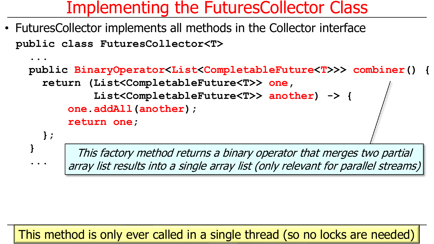**public class FuturesCollector<T>** • FuturesCollector implements all methods in the Collector interface

**}**

**...**

```
...
public BinaryOperator<List<CompletableFuture<T>>> combiner() {
  return (List<CompletableFuture<T>> one,
          List<CompletableFuture<T>> another) -> {
      one.addAll(another);
      return one;
  };
```
This factory method returns a binary operator that merges two partial array list results into a single array list (only relevant for parallel streams)

#### **17** This method is only ever called in a single thread (so no locks are needed)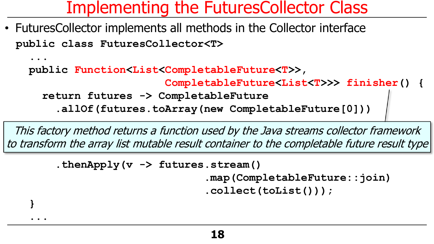**public class FuturesCollector<T>** • FuturesCollector implements all methods in the Collector interface

**... public Function<List<CompletableFuture<T>>,** 

**CompletableFuture<List<T>>> finisher() {**

**return futures -> CompletableFuture**

**.allOf(futures.toArray(new CompletableFuture[0]))**

This factory method returns a function used by the Java streams collector framework to transform the array list mutable result container to the completable future result type

**.thenApply(v -> futures.stream()**

**}**

**...**

**.map(CompletableFuture::join)**

**.collect(toList()));**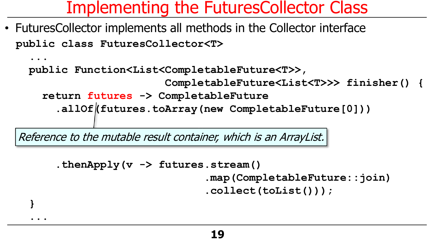**public class FuturesCollector<T>** • FuturesCollector implements all methods in the Collector interface

```
...
public Function<List<CompletableFuture<T>>, 
                     CompletableFuture<List<T>>> finisher() {
  return futures -> CompletableFuture
    .allOf(futures.toArray(new CompletableFuture[0]))
```
Reference to the mutable result container, which is an ArrayList.

**}**

**...**

```
.thenApply(v -> futures.stream()
                        .map(CompletableFuture::join)
                        .collect(toList()));
```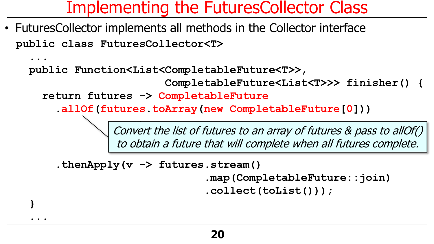**public class FuturesCollector<T>** • FuturesCollector implements all methods in the Collector interface

**public Function<List<CompletableFuture<T>>,** 

**CompletableFuture<List<T>>> finisher() {**

**return futures -> CompletableFuture**

**...**

**}**

**...**

**.allOf(futures.toArray(new CompletableFuture[0]))**

Convert the list of futures to an array of futures & pass to allOf() to obtain a future that will complete when all futures complete.

**.thenApply(v -> futures.stream()**

**.map(CompletableFuture::join)**

**.collect(toList()));**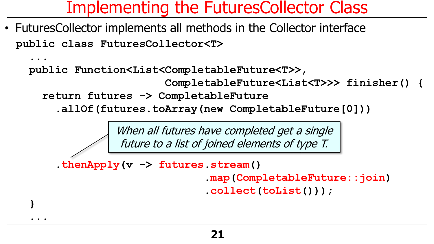**public class FuturesCollector<T>** • FuturesCollector implements all methods in the Collector interface

**public Function<List<CompletableFuture<T>>,** 

**CompletableFuture<List<T>>> finisher() {**

**return futures -> CompletableFuture**

**...**

**}**

**...**

**.allOf(futures.toArray(new CompletableFuture[0]))**

When all futures have completed get a single future to a list of joined elements of type T.

**.thenApply(v -> futures.stream()**

**.map(CompletableFuture::join)**

**.collect(toList()));**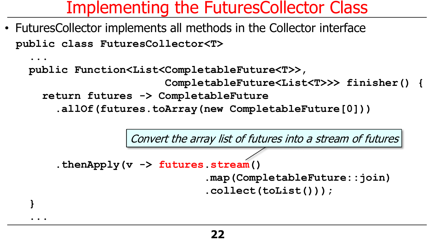**public class FuturesCollector<T>** • FuturesCollector implements all methods in the Collector interface

```
...
public Function<List<CompletableFuture<T>>, 
                     CompletableFuture<List<T>>> finisher() {
  return futures -> CompletableFuture
```

```
.allOf(futures.toArray(new CompletableFuture[0]))
```


```
.thenApply(v -> futures.stream()
```
**}**

**...**

```
.map(CompletableFuture::join)
```

```
.collect(toList()));
```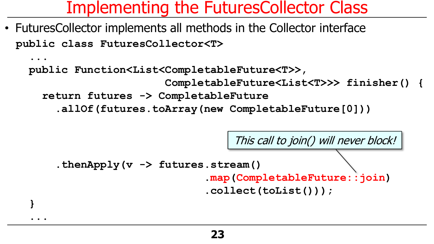**public class FuturesCollector<T>** • FuturesCollector implements all methods in the Collector interface

**}**

**...**

```
...
public Function<List<CompletableFuture<T>>, 
                     CompletableFuture<List<T>>> finisher() {
  return futures -> CompletableFuture
    .allOf(futures.toArray(new CompletableFuture[0]))
```

```
.thenApply(v -> futures.stream()
                          .map(CompletableFuture::join)
                          .collect(toList()));
                               This call to join() will never block!
```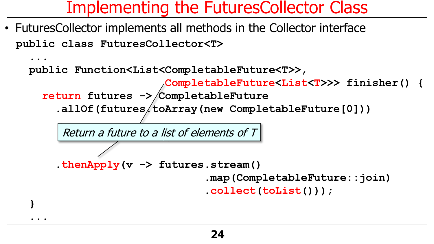**public class FuturesCollector<T>** • FuturesCollector implements all methods in the Collector interface

```
public Function<List<CompletableFuture<T>>,
```
**CompletableFuture<List<T>>> finisher() {**

```
return futures -> CompletableFuture
```
**...**

**}**

**...**

.allOf(futures/toArray(new CompletableFuture[0]))

Return a future to a list of elements of  $T$ 

```
.thenApply(v -> futures.stream()
```

```
.map(CompletableFuture::join)
```

```
.collect(toList()));
```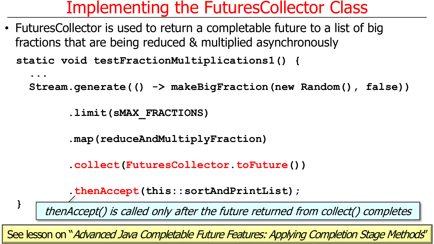• FuturesCollector is used to return a completable future to a list of big fractions that are being reduced & multiplied asynchronously

**static void testFractionMultiplications1() {**

```
...
```
**}** 

**Stream.generate(() -> makeBigFraction(new Random(), false))**

**.limit(sMAX\_FRACTIONS)**

**.map(reduceAndMultiplyFraction)**

**.collect(FuturesCollector.toFuture())**

```
.thenAccept(this::sortAndPrintList);
```
thenAccept() is called only after the future returned from collect() completes

**25** See lesson on "Advanced Java Completable Future Features: Applying Completion Stage Methods"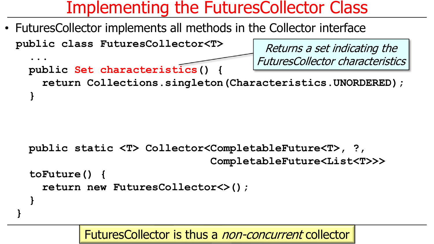• FuturesCollector implements all methods in the Collector interface

```
public class FuturesCollector<T>
  ...
  public Set characteristics() {
    return Collections.singleton(Characteristics.UNORDERED);
  }
                                           Returns a set indicating the 
                                          FuturesCollector characteristics
```

```
public static <T> Collector<CompletableFuture<T>, ?,
                             CompletableFuture<List<T>>> 
toFuture() {
  return new FuturesCollector<>();
}
```
**}**

FuturesCollector is thus a non-concurrent collector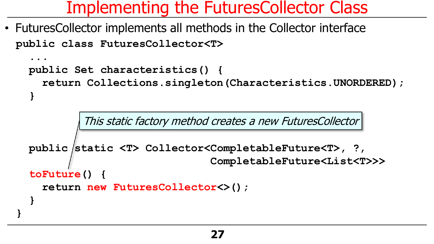**public class FuturesCollector<T>** • FuturesCollector implements all methods in the Collector interface

```
...
public Set characteristics() {
```
**}**

**}**

**return Collections.singleton(Characteristics.UNORDERED);**

This static factory method creates a new FuturesCollector

```
public static <T> Collector<CompletableFuture<T>, ?,
                             CompletableFuture<List<T>>> 
toFuture() {
  return new FuturesCollector<>();
}
```